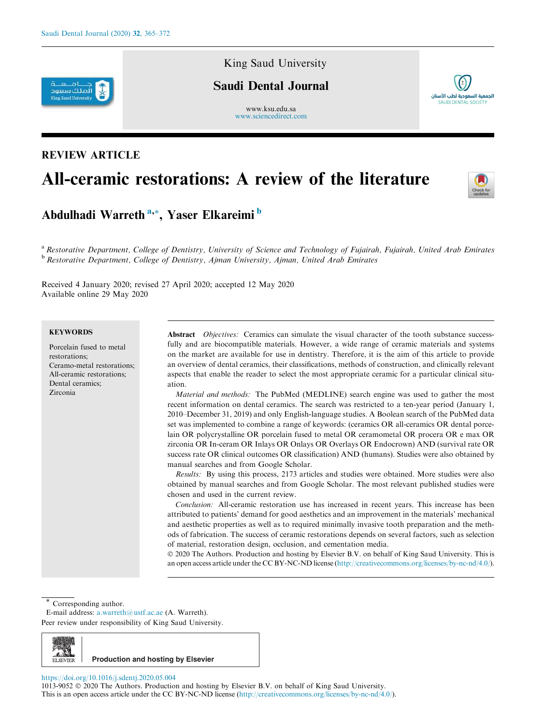

# King Saud University

# Saudi Dental Journal

www.ksu.edu.sa www.sciencedirect.com



# All-ceramic restorations: A review of the literature



<sup>a</sup> *Restorative Department, College of Dentistry, University of Science and Technology of Fujairah, Fujairah, United Arab Emirates* <sup>b</sup> *Restorative Department, College of Dentistry, Ajman University, Ajman, United Arab Emirates*

Received 4 January 2020; revised 27 April 2020; accepted 12 May 2020 Available online 29 May 2020

# **KEYWORDS**

Porcelain fused to metal restorations; Ceramo-metal restorations; All-ceramic restorations; Dental ceramics; Zirconia

Abstract *Objectives:* Ceramics can simulate the visual character of the tooth substance successfully and are biocompatible materials. However, a wide range of ceramic materials and systems on the market are available for use in dentistry. Therefore, it is the aim of this article to provide an overview of dental ceramics, their classifications, methods of construction, and clinically relevant aspects that enable the reader to select the most appropriate ceramic for a particular clinical situation.

*Material and methods:* The PubMed (MEDLINE) search engine was used to gather the most recent information on dental ceramics. The search was restricted to a ten-year period (January 1, 2010–December 31, 2019) and only English-language studies. A Boolean search of the PubMed data set was implemented to combine a range of keywords: (ceramics OR all-ceramics OR dental porcelain OR polycrystalline OR porcelain fused to metal OR ceramometal OR procera OR e max OR zirconia OR In-ceram OR Inlays OR Onlays OR Overlays OR Endocrown) AND (survival rate OR success rate OR clinical outcomes OR classification) AND (humans). Studies were also obtained by manual searches and from Google Scholar.

*Results:* By using this process, 2173 articles and studies were obtained. More studies were also obtained by manual searches and from Google Scholar. The most relevant published studies were chosen and used in the current review.

*Conclusion:* All-ceramic restoration use has increased in recent years. This increase has been attributed to patients' demand for good aesthetics and an improvement in the materials' mechanical and aesthetic properties as well as to required minimally invasive tooth preparation and the methods of fabrication. The success of ceramic restorations depends on several factors, such as selection of material, restoration design, occlusion, and cementation media.

 2020 The Authors. Production and hosting by Elsevier B.V. on behalf of King Saud University. This is an open access article under the CC BY-NC-ND license (http://creativecommons.org/licenses/by-nc-nd/4.0/).

Corresponding author.

Peer review under responsibility of King Saud University.



https://doi.org/10.1016/j.sdentj.2020.05.004

1013-9052 2020 The Authors. Production and hosting by Elsevier B.V. on behalf of King Saud University. This is an open access article under the CC BY-NC-ND license (http://creativecommons.org/licenses/by-nc-nd/4.0/).



الجمعية السعودية لطب الأسنان SALIDI DENTAL SOCIET

E-mail address: a.warreth@ustf.ac.ae (A. Warreth).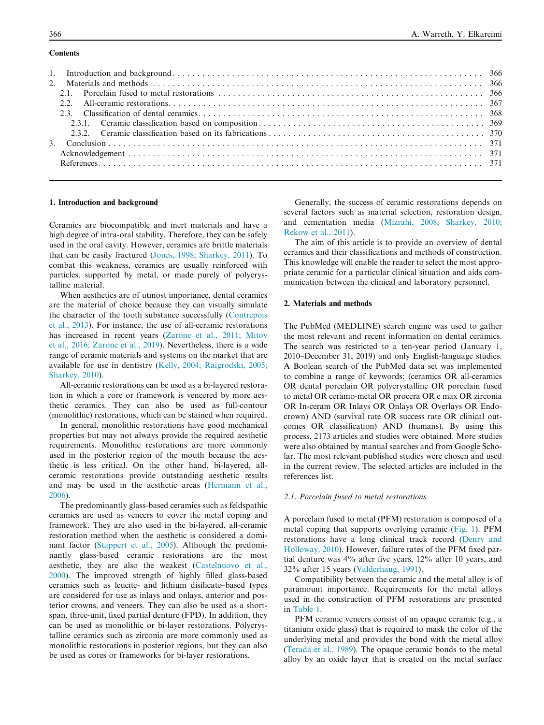## **Contents**

### 1. Introduction and background

Ceramics are biocompatible and inert materials and have a high degree of intra-oral stability. Therefore, they can be safely used in the oral cavity. However, ceramics are brittle materials that can be easily fractured (Jones, 1998; Sharkey, 2011). To combat this weakness, ceramics are usually reinforced with particles, supported by metal, or made purely of polycrystalline material.

When aesthetics are of utmost importance, dental ceramics are the material of choice because they can visually simulate the character of the tooth substance successfully (Contrepois et al., 2013). For instance, the use of all-ceramic restorations has increased in recent years (Zarone et al., 2011; Mitov et al., 2016; Zarone et al., 2019). Nevertheless, there is a wide range of ceramic materials and systems on the market that are available for use in dentistry (Kelly, 2004; Raigrodski, 2005; Sharkey, 2010).

All-ceramic restorations can be used as a bi-layered restoration in which a core or framework is veneered by more aesthetic ceramics. They can also be used as full-contour (monolithic) restorations, which can be stained when required.

In general, monolithic restorations have good mechanical properties but may not always provide the required aesthetic requirements. Monolithic restorations are more commonly used in the posterior region of the mouth because the aesthetic is less critical. On the other hand, bi-layered, allceramic restorations provide outstanding aesthetic results and may be used in the aesthetic areas (Hermann et al., 2006).

The predominantly glass-based ceramics such as feldspathic ceramics are used as veneers to cover the metal coping and framework. They are also used in the bi-layered, all-ceramic restoration method when the aesthetic is considered a dominant factor (Stappert et al., 2005). Although the predominantly glass-based ceramic restorations are the most aesthetic, they are also the weakest (Castelnuovo et al., 2000). The improved strength of highly filled glass-based ceramics such as leucite- and lithium disilicate–based types are considered for use as inlays and onlays, anterior and posterior crowns, and veneers. They can also be used as a shortspan, three-unit, fixed partial denture (FPD). In addition, they can be used as monolithic or bi-layer restorations. Polycrystalline ceramics such as zirconia are more commonly used as monolithic restorations in posterior regions, but they can also be used as cores or frameworks for bi-layer restorations.

Generally, the success of ceramic restorations depends on several factors such as material selection, restoration design, and cementation media (Mizrahi, 2008; Sharkey, 2010; Rekow et al., 2011).

The aim of this article is to provide an overview of dental ceramics and their classifications and methods of construction. This knowledge will enable the reader to select the most appropriate ceramic for a particular clinical situation and aids communication between the clinical and laboratory personnel.

#### 2. Materials and methods

The PubMed (MEDLINE) search engine was used to gather the most relevant and recent information on dental ceramics. The search was restricted to a ten-year period (January 1, 2010–December 31, 2019) and only English-language studies. A Boolean search of the PubMed data set was implemented to combine a range of keywords: (ceramics OR all-ceramics OR dental porcelain OR polycrystalline OR porcelain fused to metal OR ceramo-metal OR procera OR e max OR zirconia OR In-ceram OR Inlays OR Onlays OR Overlays OR Endocrown) AND (survival rate OR success rate OR clinical outcomes OR classification) AND (humans). By using this process, 2173 articles and studies were obtained. More studies were also obtained by manual searches and from Google Scholar. The most relevant published studies were chosen and used in the current review. The selected articles are included in the references list.

#### *2.1. Porcelain fused to metal restorations*

A porcelain fused to metal (PFM) restoration is composed of a metal coping that supports overlying ceramic (Fig. 1). PFM restorations have a long clinical track record (Denry and Holloway, 2010). However, failure rates of the PFM fixed partial denture was 4% after five years, 12% after 10 years, and 32% after 15 years (Valderhaug, 1991).

Compatibility between the ceramic and the metal alloy is of paramount importance. Requirements for the metal alloys used in the construction of PFM restorations are presented in Table 1.

PFM ceramic veneers consist of an opaque ceramic (e.g., a titanium oxide glass) that is required to mask the color of the underlying metal and provides the bond with the metal alloy (Terada et al., 1989). The opaque ceramic bonds to the metal alloy by an oxide layer that is created on the metal surface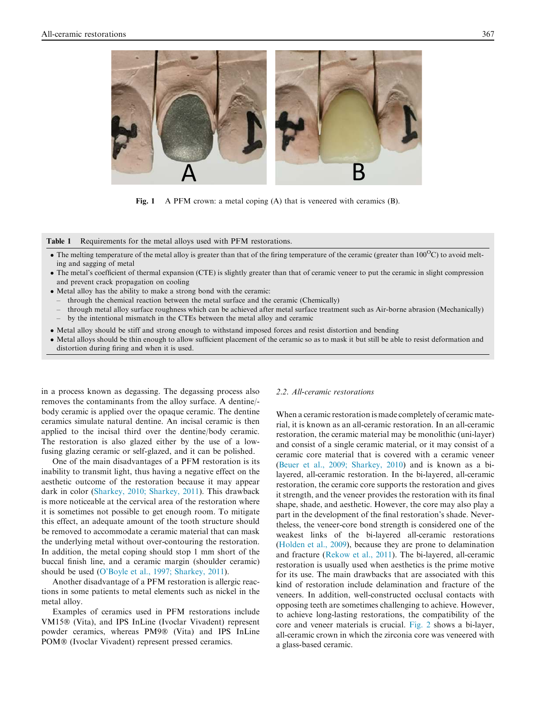

Fig. 1 A PFM crown: a metal coping (A) that is veneered with ceramics (B).

#### Table 1 Requirements for the metal alloys used with PFM restorations.

- The melting temperature of the metal alloy is greater than that of the firing temperature of the ceramic (greater than  $100^{\circ}\text{C}$ ) to avoid melting and sagging of metal
- The metal's coefficient of thermal expansion (CTE) is slightly greater than that of ceramic veneer to put the ceramic in slight compression and prevent crack propagation on cooling
- Metal alloy has the ability to make a strong bond with the ceramic:
	- through the chemical reaction between the metal surface and the ceramic (Chemically)
- through metal alloy surface roughness which can be achieved after metal surface treatment such as Air-borne abrasion (Mechanically) – by the intentional mismatch in the CTEs between the metal alloy and ceramic
- Metal alloy should be stiff and strong enough to withstand imposed forces and resist distortion and bending
- Metal alloys should be thin enough to allow sufficient placement of the ceramic so as to mask it but still be able to resist deformation and distortion during firing and when it is used.

in a process known as degassing. The degassing process also removes the contaminants from the alloy surface. A dentine/ body ceramic is applied over the opaque ceramic. The dentine ceramics simulate natural dentine. An incisal ceramic is then applied to the incisal third over the dentine/body ceramic. The restoration is also glazed either by the use of a lowfusing glazing ceramic or self-glazed, and it can be polished.

One of the main disadvantages of a PFM restoration is its inability to transmit light, thus having a negative effect on the aesthetic outcome of the restoration because it may appear dark in color (Sharkey, 2010; Sharkey, 2011). This drawback is more noticeable at the cervical area of the restoration where it is sometimes not possible to get enough room. To mitigate this effect, an adequate amount of the tooth structure should be removed to accommodate a ceramic material that can mask the underlying metal without over-contouring the restoration. In addition, the metal coping should stop 1 mm short of the buccal finish line, and a ceramic margin (shoulder ceramic) should be used (O'Boyle et al., 1997; Sharkey, 2011).

Another disadvantage of a PFM restoration is allergic reactions in some patients to metal elements such as nickel in the metal alloy.

Examples of ceramics used in PFM restorations include VM15® (Vita), and IPS InLine (Ivoclar Vivadent) represent powder ceramics, whereas PM9® (Vita) and IPS InLine POM<sup>®</sup> (Ivoclar Vivadent) represent pressed ceramics.

#### *2.2. All-ceramic restorations*

When a ceramic restoration is made completely of ceramic material, it is known as an all-ceramic restoration. In an all-ceramic restoration, the ceramic material may be monolithic (uni-layer) and consist of a single ceramic material, or it may consist of a ceramic core material that is covered with a ceramic veneer (Beuer et al., 2009; Sharkey, 2010) and is known as a bilayered, all-ceramic restoration. In the bi-layered, all-ceramic restoration, the ceramic core supports the restoration and gives it strength, and the veneer provides the restoration with its final shape, shade, and aesthetic. However, the core may also play a part in the development of the final restoration's shade. Nevertheless, the veneer-core bond strength is considered one of the weakest links of the bi-layered all-ceramic restorations (Holden et al., 2009), because they are prone to delamination and fracture (Rekow et al., 2011). The bi-layered, all-ceramic restoration is usually used when aesthetics is the prime motive for its use. The main drawbacks that are associated with this kind of restoration include delamination and fracture of the veneers. In addition, well-constructed occlusal contacts with opposing teeth are sometimes challenging to achieve. However, to achieve long-lasting restorations, the compatibility of the core and veneer materials is crucial. Fig. 2 shows a bi-layer, all-ceramic crown in which the zirconia core was veneered with a glass-based ceramic.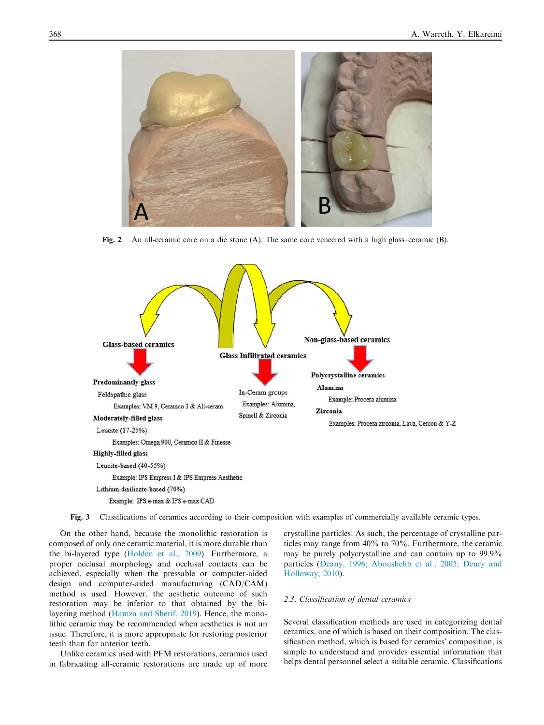

Fig. 2 An all-ceramic core on a die stone (A). The same core veneered with a high glass–ceramic (B).



Fig. 3 Classifications of ceramics according to their composition with examples of commercially available ceramic types.

On the other hand, because the monolithic restoration is composed of only one ceramic material, it is more durable than the bi-layered type (Holden et al., 2009). Furthermore, a proper occlusal morphology and occlusal contacts can be achieved, especially when the pressable or computer-aided design and computer-aided manufacturing (CAD/CAM) method is used. However, the aesthetic outcome of such restoration may be inferior to that obtained by the bilayering method (Hamza and Sherif, 2019). Hence, the monolithic ceramic may be recommended when aesthetics is not an issue. Therefore, it is more appropriate for restoring posterior teeth than for anterior teeth.

Unlike ceramics used with PFM restorations, ceramics used in fabricating all-ceramic restorations are made up of more crystalline particles. As such, the percentage of crystalline particles may range from 40% to 70%. Furthermore, the ceramic may be purely polycrystalline and can contain up to 99.9% particles (Deany, 1996; Aboushelib et al., 2005; Denry and Holloway, 2010).

#### *2.3. Classification of dental ceramics*

Several classification methods are used in categorizing dental ceramics, one of which is based on their composition. The classification method, which is based for ceramics' composition, is simple to understand and provides essential information that helps dental personnel select a suitable ceramic. Classifications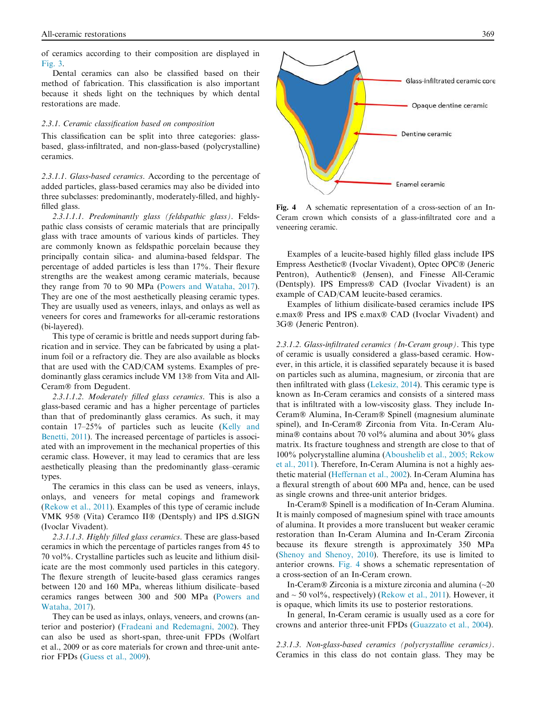of ceramics according to their composition are displayed in Fig. 3.

Dental ceramics can also be classified based on their method of fabrication. This classification is also important because it sheds light on the techniques by which dental restorations are made.

#### *2.3.1. Ceramic classification based on composition*

This classification can be split into three categories: glassbased, glass-infiltrated, and non-glass-based (polycrystalline) ceramics.

*2.3.1.1. Glass-based ceramics.* According to the percentage of added particles, glass-based ceramics may also be divided into three subclasses: predominantly, moderately-filled, and highlyfilled glass.

*2.3.1.1.1. Predominantly glass (feldspathic glass).* Feldspathic class consists of ceramic materials that are principally glass with trace amounts of various kinds of particles. They are commonly known as feldspathic porcelain because they principally contain silica- and alumina-based feldspar. The percentage of added particles is less than 17%. Their flexure strengths are the weakest among ceramic materials, because they range from 70 to 90 MPa (Powers and Wataha, 2017). They are one of the most aesthetically pleasing ceramic types. They are usually used as veneers, inlays, and onlays as well as veneers for cores and frameworks for all-ceramic restorations (bi-layered).

This type of ceramic is brittle and needs support during fabrication and in service. They can be fabricated by using a platinum foil or a refractory die. They are also available as blocks that are used with the CAD/CAM systems. Examples of predominantly glass ceramics include VM 13® from Vita and All-Ceram<sup>®</sup> from Degudent.

*2.3.1.1.2. Moderately filled glass ceramics.* This is also a glass-based ceramic and has a higher percentage of particles than that of predominantly glass ceramics. As such, it may contain 17–25% of particles such as leucite (Kelly and Benetti, 2011). The increased percentage of particles is associated with an improvement in the mechanical properties of this ceramic class. However, it may lead to ceramics that are less aesthetically pleasing than the predominantly glass–ceramic types.

The ceramics in this class can be used as veneers, inlays, onlays, and veneers for metal copings and framework (Rekow et al., 2011). Examples of this type of ceramic include VMK 95® (Vita) Ceramco II® (Dentsply) and IPS d.SIGN (Ivoclar Vivadent).

*2.3.1.1.3. Highly filled glass ceramics.* These are glass-based ceramics in which the percentage of particles ranges from 45 to 70 vol%. Crystalline particles such as leucite and lithium disilicate are the most commonly used particles in this category. The flexure strength of leucite-based glass ceramics ranges between 120 and 160 MPa, whereas lithium disilicate–based ceramics ranges between 300 and 500 MPa (Powers and Wataha, 2017).

They can be used as inlays, onlays, veneers, and crowns (anterior and posterior) (Fradeani and Redemagni, 2002). They can also be used as short-span, three-unit FPDs (Wolfart et al., 2009 or as core materials for crown and three-unit anterior FPDs (Guess et al., 2009).



Fig. 4 A schematic representation of a cross-section of an In-Ceram crown which consists of a glass-infiltrated core and a veneering ceramic.

Examples of a leucite-based highly filled glass include IPS Empress Aesthetic® (Ivoclar Vivadent), Optec OPC® (Jeneric Pentron), Authentic® (Jensen), and Finesse All-Ceramic (Dentsply). IPS Empress<sup>®</sup> CAD (Ivoclar Vivadent) is an example of CAD/CAM leucite-based ceramics.

Examples of lithium disilicate-based ceramics include IPS e.max<sup>®</sup> Press and IPS e.max<sup>®</sup> CAD (Ivoclar Vivadent) and 3G<sup>®</sup> (Jeneric Pentron).

*2.3.1.2. Glass-infiltrated ceramics (In-Ceram group).* This type of ceramic is usually considered a glass-based ceramic. However, in this article, it is classified separately because it is based on particles such as alumina, magnesium, or zirconia that are then infiltrated with glass (Lekesiz, 2014). This ceramic type is known as In-Ceram ceramics and consists of a sintered mass that is infiltrated with a low-viscosity glass. They include In-Ceram<sup>®</sup> Alumina, In-Ceram<sup>®</sup> Spinell (magnesium aluminate spinel), and In-Ceram<sup>®</sup> Zirconia from Vita. In-Ceram Alumina $\circledR$  contains about 70 vol% alumina and about 30% glass matrix. Its fracture toughness and strength are close to that of 100% polycrystalline alumina (Aboushelib et al., 2005; Rekow et al., 2011). Therefore, In-Ceram Alumina is not a highly aesthetic material (Heffernan et al., 2002). In-Ceram Alumina has a flexural strength of about 600 MPa and, hence, can be used as single crowns and three-unit anterior bridges.

In-Ceram Spinell is a modification of In-Ceram Alumina. It is mainly composed of magnesium spinel with trace amounts of alumina. It provides a more translucent but weaker ceramic restoration than In-Ceram Alumina and In-Ceram Zirconia because its flexure strength is approximately 350 MPa (Shenoy and Shenoy, 2010). Therefore, its use is limited to anterior crowns. Fig. 4 shows a schematic representation of a cross-section of an In-Ceram crown.

In-Ceram  $\&$  Zirconia is a mixture zirconia and alumina (~20 and  $\sim$  50 vol%, respectively) (Rekow et al., 2011). However, it is opaque, which limits its use to posterior restorations.

In general, In-Ceram ceramic is usually used as a core for crowns and anterior three-unit FPDs (Guazzato et al., 2004).

*2.3.1.3. Non-glass-based ceramics (polycrystalline ceramics).* Ceramics in this class do not contain glass. They may be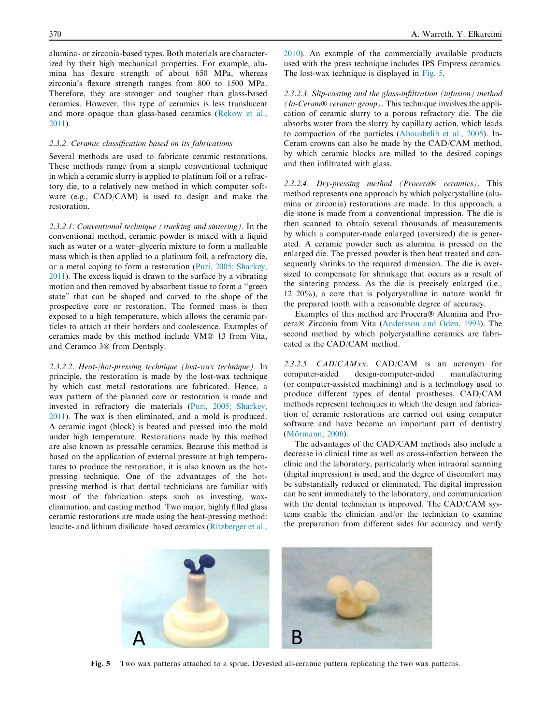alumina- or zirconia-based types. Both materials are characterized by their high mechanical properties. For example, alumina has flexure strength of about 650 MPa, whereas zirconia's flexure strength ranges from 800 to 1500 MPa. Therefore, they are stronger and tougher than glass-based ceramics. However, this type of ceramics is less translucent and more opaque than glass-based ceramics (Rekow et al., 2011).

#### *2.3.2. Ceramic classification based on its fabrications*

Several methods are used to fabricate ceramic restorations. These methods range from a simple conventional technique in which a ceramic slurry is applied to platinum foil or a refractory die, to a relatively new method in which computer software (e.g., CAD/CAM) is used to design and make the restoration.

*2.3.2.1. Conventional technique (stacking and sintering).* In the conventional method, ceramic powder is mixed with a liquid such as water or a water–glycerin mixture to form a malleable mass which is then applied to a platinum foil, a refractory die, or a metal coping to form a restoration (Puri, 2005; Sharkey, 2011). The excess liquid is drawn to the surface by a vibrating motion and then removed by absorbent tissue to form a ''green state" that can be shaped and carved to the shape of the prospective core or restoration. The formed mass is then exposed to a high temperature, which allows the ceramic particles to attach at their borders and coalescence. Examples of ceramics made by this method include VM® 13 from Vita, and Ceramco 3® from Dentsply.

*2.3.2.2. Heat-/hot-pressing technique (lost-wax technique).* In principle, the restoration is made by the lost-wax technique by which cast metal restorations are fabricated. Hence, a wax pattern of the planned core or restoration is made and invested in refractory die materials (Puri, 2005; Sharkey, 2011). The wax is then eliminated, and a mold is produced. A ceramic ingot (block) is heated and pressed into the mold under high temperature. Restorations made by this method are also known as pressable ceramics. Because this method is based on the application of external pressure at high temperatures to produce the restoration, it is also known as the hotpressing technique. One of the advantages of the hotpressing method is that dental technicians are familiar with most of the fabrication steps such as investing, waxelimination, and casting method. Two major, highly filled glass ceramic restorations are made using the heat-pressing method: leucite- and lithium disilicate–based ceramics (Ritzberger et al.,

2010). An example of the commercially available products used with the press technique includes IPS Empress ceramics. The lost-wax technique is displayed in Fig. 5.

*2.3.2.3. Slip-casting and the glass-infiltration (infusion) method (In-Ceram<sup>®</sup> ceramic group).* This technique involves the application of ceramic slurry to a porous refractory die. The die absorbs water from the slurry by capillary action, which leads to compaction of the particles (Aboushelib et al., 2005). In-Ceram crowns can also be made by the CAD/CAM method, by which ceramic blocks are milled to the desired copings and then infiltrated with glass.

2.3.2.4. Dry-pressing method (Procera<sup>®</sup> ceramics). This method represents one approach by which polycrystalline (alumina or zirconia) restorations are made. In this approach, a die stone is made from a conventional impression. The die is then scanned to obtain several thousands of measurements by which a computer-made enlarged (oversized) die is generated. A ceramic powder such as alumina is pressed on the enlarged die. The pressed powder is then heat treated and consequently shrinks to the required dimension. The die is oversized to compensate for shrinkage that occurs as a result of the sintering process. As the die is precisely enlarged (i.e., 12–20%), a core that is polycrystalline in nature would fit the prepared tooth with a reasonable degree of accuracy.

Examples of this method are Procera® Alumina and Procera® Zirconia from Vita (Andersson and Oden, 1993). The second method by which polycrystalline ceramics are fabricated is the CAD/CAM method.

*2.3.2.5. CAD/CAMxx.* CAD/CAM is an acronym for computer-aided design-computer-aided manufacturing (or computer-assisted machining) and is a technology used to produce different types of dental prostheses. CAD/CAM methods represent techniques in which the design and fabrication of ceramic restorations are carried out using computer software and have become an important part of dentistry (Mörmann, 2006).

The advantages of the CAD/CAM methods also include a decrease in clinical time as well as cross-infection between the clinic and the laboratory, particularly when intraoral scanning (digital impression) is used, and the degree of discomfort may be substantially reduced or eliminated. The digital impression can be sent immediately to the laboratory, and communication with the dental technician is improved. The CAD/CAM systems enable the clinician and/or the technician to examine the preparation from different sides for accuracy and verify



Fig. 5 Two wax patterns attached to a sprue. Devested all-ceramic pattern replicating the two wax patterns.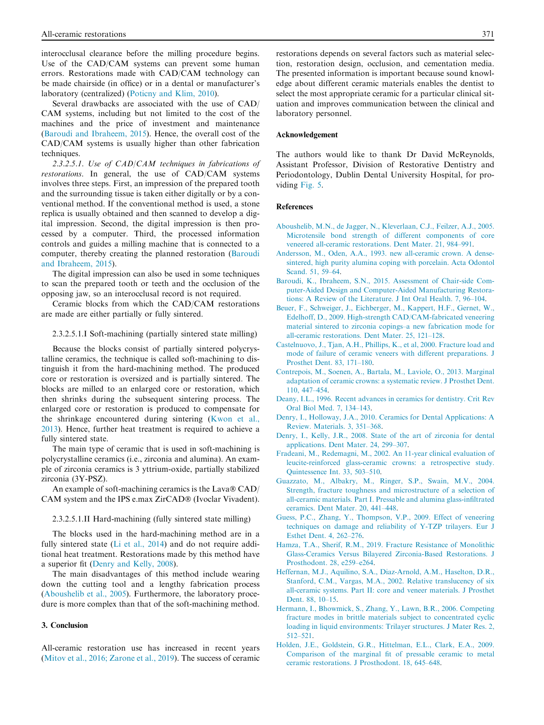interocclusal clearance before the milling procedure begins. Use of the CAD/CAM systems can prevent some human errors. Restorations made with CAD/CAM technology can be made chairside (in office) or in a dental or manufacturer's laboratory (centralized) (Poticny and Klim, 2010).

Several drawbacks are associated with the use of CAD/ CAM systems, including but not limited to the cost of the machines and the price of investment and maintenance (Baroudi and Ibraheem, 2015). Hence, the overall cost of the CAD/CAM systems is usually higher than other fabrication techniques.

*2.3.2.5.1. Use of CAD/CAM techniques in fabrications of restorations.* In general, the use of CAD/CAM systems involves three steps. First, an impression of the prepared tooth and the surrounding tissue is taken either digitally or by a conventional method. If the conventional method is used, a stone replica is usually obtained and then scanned to develop a digital impression. Second, the digital impression is then processed by a computer. Third, the processed information controls and guides a milling machine that is connected to a computer, thereby creating the planned restoration (Baroudi and Ibraheem, 2015).

The digital impression can also be used in some techniques to scan the prepared tooth or teeth and the occlusion of the opposing jaw, so an interocclusal record is not required.

Ceramic blocks from which the CAD/CAM restorations are made are either partially or fully sintered.

## 2.3.2.5.1.I Soft-machining (partially sintered state milling)

Because the blocks consist of partially sintered polycrystalline ceramics, the technique is called soft-machining to distinguish it from the hard-machining method. The produced core or restoration is oversized and is partially sintered. The blocks are milled to an enlarged core or restoration, which then shrinks during the subsequent sintering process. The enlarged core or restoration is produced to compensate for the shrinkage encountered during sintering (Kwon et al., 2013). Hence, further heat treatment is required to achieve a fully sintered state.

The main type of ceramic that is used in soft-machining is polycrystalline ceramics (i.e., zirconia and alumina). An example of zirconia ceramics is 3 yttrium-oxide, partially stabilized zirconia (3Y-PSZ).

An example of soft-machining ceramics is the Lava® CAD/ CAM system and the IPS e.max ZirCAD® (Ivoclar Vivadent).

#### 2.3.2.5.1.II Hard-machining (fully sintered state milling)

The blocks used in the hard-machining method are in a fully sintered state (Li et al., 2014) and do not require additional heat treatment. Restorations made by this method have a superior fit (Denry and Kelly, 2008).

The main disadvantages of this method include wearing down the cutting tool and a lengthy fabrication process (Aboushelib et al., 2005). Furthermore, the laboratory procedure is more complex than that of the soft-machining method.

### 3. Conclusion

All-ceramic restoration use has increased in recent years (Mitov et al., 2016; Zarone et al., 2019). The success of ceramic restorations depends on several factors such as material selection, restoration design, occlusion, and cementation media. The presented information is important because sound knowledge about different ceramic materials enables the dentist to select the most appropriate ceramic for a particular clinical situation and improves communication between the clinical and laboratory personnel.

#### Acknowledgement

The authors would like to thank Dr David McReynolds, Assistant Professor, Division of Restorative Dentistry and Periodontology, Dublin Dental University Hospital, for providing Fig. 5.

#### References

- Aboushelib, M.N., de Jagger, N., Kleverlaan, C.J., Feilzer, A.J., 2005. Microtensile bond strength of different components of core veneered all-ceramic restorations. Dent Mater. 21, 984–991.
- Andersson, M., Oden, A.A., 1993. new all-ceramic crown. A densesintered, high purity alumina coping with porcelain. Acta Odontol Scand. 51, 59–64.
- Baroudi, K., Ibraheem, S.N., 2015. Assessment of Chair-side Computer-Aided Design and Computer-Aided Manufacturing Restorations: A Review of the Literature. J Int Oral Health. 7, 96–104.
- Beuer, F., Schweiger, J., Eichberger, M., Kappert, H.F., Gernet, W., Edelhoff, D., 2009. High-strength CAD/CAM-fabricated veneering material sintered to zirconia copings–a new fabrication mode for all-ceramic restorations. Dent Mater. 25, 121–128.
- Castelnuovo, J., Tjan, A.H., Phillips, K., et al, 2000. Fracture load and mode of failure of ceramic veneers with different preparations. J Prosthet Dent. 83, 171–180.
- Contrepois, M., Soenen, A., Bartala, M., Laviole, O., 2013. Marginal adaptation of ceramic crowns: a systematic review. J Prosthet Dent. 110, 447–454.
- Deany, I.L., 1996. Recent advances in ceramics for dentistry. Crit Rev Oral Biol Med. 7, 134–143.
- Denry, I., Holloway, J.A., 2010. Ceramics for Dental Applications: A Review. Materials. 3, 351–368.
- Denry, I., Kelly, J.R., 2008. State of the art of zirconia for dental applications. Dent Mater. 24, 299–307.
- Fradeani, M., Redemagni, M., 2002. An 11-year clinical evaluation of leucite-reinforced glass-ceramic crowns: a retrospective study. Quintessence Int. 33, 503–510.
- Guazzato, M., Albakry, M., Ringer, S.P., Swain, M.V., 2004. Strength, fracture toughness and microstructure of a selection of all-ceramic materials. Part I. Pressable and alumina glass-infiltrated ceramics. Dent Mater. 20, 441–448.
- Guess, P.C., Zhang, Y., Thompson, V.P., 2009. Effect of veneering techniques on damage and reliability of Y-TZP trilayers. Eur J Esthet Dent. 4, 262–276.
- Hamza, T.A., Sherif, R.M., 2019. Fracture Resistance of Monolithic Glass-Ceramics Versus Bilayered Zirconia-Based Restorations. J Prosthodont. 28, e259–e264.
- Heffernan, M.J., Aquilino, S.A., Diaz-Arnold, A.M., Haselton, D.R., Stanford, C.M., Vargas, M.A., 2002. Relative translucency of six all-ceramic systems. Part II: core and veneer materials. J Prosthet Dent. 88, 10–15.
- Hermann, I., Bhowmick, S., Zhang, Y., Lawn, B.R., 2006. Competing fracture modes in brittle materials subject to concentrated cyclic loading in liquid environments: Trilayer structures. J Mater Res. 2, 512–521.
- Holden, J.E., Goldstein, G.R., Hittelman, E.L., Clark, E.A., 2009. Comparison of the marginal fit of pressable ceramic to metal ceramic restorations. J Prosthodont. 18, 645–648.